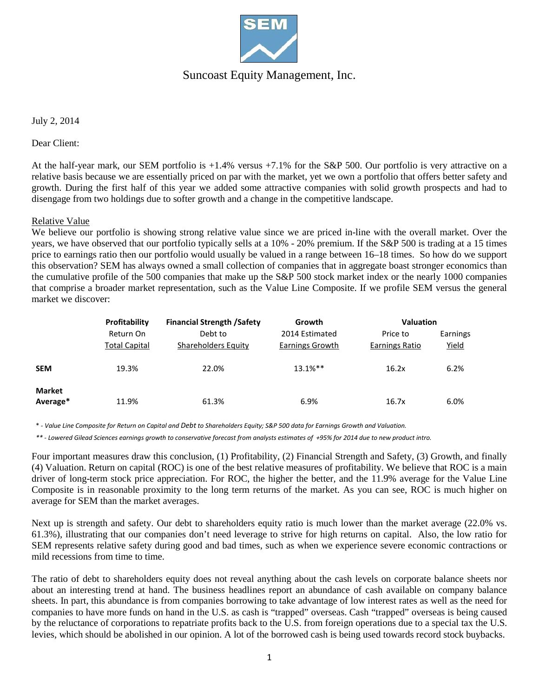

## Suncoast Equity Management, Inc.

July 2, 2014

Dear Client:

At the half-year mark, our SEM portfolio is +1.4% versus +7.1% for the S&P 500. Our portfolio is very attractive on a relative basis because we are essentially priced on par with the market, yet we own a portfolio that offers better safety and growth. During the first half of this year we added some attractive companies with solid growth prospects and had to disengage from two holdings due to softer growth and a change in the competitive landscape.

## Relative Value

We believe our portfolio is showing strong relative value since we are priced in-line with the overall market. Over the years, we have observed that our portfolio typically sells at a 10% - 20% premium. If the S&P 500 is trading at a 15 times price to earnings ratio then our portfolio would usually be valued in a range between 16–18 times. So how do we support this observation? SEM has always owned a small collection of companies that in aggregate boast stronger economics than the cumulative profile of the 500 companies that make up the S&P 500 stock market index or the nearly 1000 companies that comprise a broader market representation, such as the Value Line Composite. If we profile SEM versus the general market we discover:

|                           | Profitability        | <b>Financial Strength /Safety</b> | Growth          | <b>Valuation</b> |              |
|---------------------------|----------------------|-----------------------------------|-----------------|------------------|--------------|
|                           | Return On            | Debt to                           | 2014 Estimated  | Price to         | Earnings     |
|                           | <b>Total Capital</b> | Shareholders Equity               | Earnings Growth | Earnings Ratio   | <u>Yield</u> |
| <b>SEM</b>                | 19.3%                | 22.0%                             | $13.1\%**$      | 16.2x            | 6.2%         |
| <b>Market</b><br>Average* | 11.9%                | 61.3%                             | 6.9%            | 16.7x            | 6.0%         |

\* *- Value Line Composite for Return on Capital and Debt to Shareholders Equity; S&P 500 data for Earnings Growth and Valuation.*

*\*\* - Lowered Gilead Sciences earnings growth to conservative forecast from analysts estimates of +95% for 2014 due to new product intro.*

Four important measures draw this conclusion, (1) Profitability, (2) Financial Strength and Safety, (3) Growth, and finally (4) Valuation. Return on capital (ROC) is one of the best relative measures of profitability. We believe that ROC is a main driver of long-term stock price appreciation. For ROC, the higher the better, and the 11.9% average for the Value Line Composite is in reasonable proximity to the long term returns of the market. As you can see, ROC is much higher on average for SEM than the market averages.

Next up is strength and safety. Our debt to shareholders equity ratio is much lower than the market average (22.0% vs. 61.3%), illustrating that our companies don't need leverage to strive for high returns on capital. Also, the low ratio for SEM represents relative safety during good and bad times, such as when we experience severe economic contractions or mild recessions from time to time.

The ratio of debt to shareholders equity does not reveal anything about the cash levels on corporate balance sheets nor about an interesting trend at hand. The business headlines report an abundance of cash available on company balance sheets. In part, this abundance is from companies borrowing to take advantage of low interest rates as well as the need for companies to have more funds on hand in the U.S. as cash is "trapped" overseas. Cash "trapped" overseas is being caused by the reluctance of corporations to repatriate profits back to the U.S. from foreign operations due to a special tax the U.S. levies, which should be abolished in our opinion. A lot of the borrowed cash is being used towards record stock buybacks.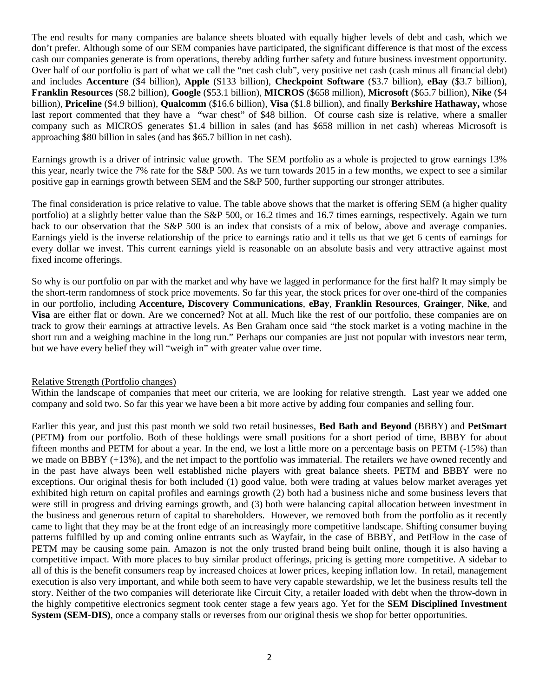The end results for many companies are balance sheets bloated with equally higher levels of debt and cash, which we don't prefer. Although some of our SEM companies have participated, the significant difference is that most of the excess cash our companies generate is from operations, thereby adding further safety and future business investment opportunity. Over half of our portfolio is part of what we call the "net cash club", very positive net cash (cash minus all financial debt) and includes **Accenture** (\$4 billion), **Apple** (\$133 billion), **Checkpoint Software** (\$3.7 billion), **eBay** (\$3.7 billion), **Franklin Resources** (\$8.2 billion), **Google** (\$53.1 billion), **MICROS** (\$658 million), **Microsoft** (\$65.7 billion), **Nike** (\$4 billion), **Priceline** (\$4.9 billion), **Qualcomm** (\$16.6 billion), **Visa** (\$1.8 billion), and finally **Berkshire Hathaway,** whose last report commented that they have a "war chest" of \$48 billion. Of course cash size is relative, where a smaller company such as MICROS generates \$1.4 billion in sales (and has \$658 million in net cash) whereas Microsoft is approaching \$80 billion in sales (and has \$65.7 billion in net cash).

Earnings growth is a driver of intrinsic value growth. The SEM portfolio as a whole is projected to grow earnings 13% this year, nearly twice the 7% rate for the S&P 500. As we turn towards 2015 in a few months, we expect to see a similar positive gap in earnings growth between SEM and the S&P 500, further supporting our stronger attributes.

The final consideration is price relative to value. The table above shows that the market is offering SEM (a higher quality portfolio) at a slightly better value than the S&P 500, or 16.2 times and 16.7 times earnings, respectively. Again we turn back to our observation that the S&P 500 is an index that consists of a mix of below, above and average companies. Earnings yield is the inverse relationship of the price to earnings ratio and it tells us that we get 6 cents of earnings for every dollar we invest. This current earnings yield is reasonable on an absolute basis and very attractive against most fixed income offerings.

So why is our portfolio on par with the market and why have we lagged in performance for the first half? It may simply be the short-term randomness of stock price movements. So far this year, the stock prices for over one-third of the companies in our portfolio, including **Accenture, Discovery Communications**, **eBay**, **Franklin Resources**, **Grainger**, **Nike**, and **Visa** are either flat or down. Are we concerned? Not at all. Much like the rest of our portfolio, these companies are on track to grow their earnings at attractive levels. As Ben Graham once said "the stock market is a voting machine in the short run and a weighing machine in the long run." Perhaps our companies are just not popular with investors near term, but we have every belief they will "weigh in" with greater value over time.

## Relative Strength (Portfolio changes)

Within the landscape of companies that meet our criteria, we are looking for relative strength. Last year we added one company and sold two. So far this year we have been a bit more active by adding four companies and selling four.

Earlier this year, and just this past month we sold two retail businesses, **Bed Bath and Beyond** (BBBY) and **PetSmart**  (PETM**)** from our portfolio. Both of these holdings were small positions for a short period of time, BBBY for about fifteen months and PETM for about a year. In the end, we lost a little more on a percentage basis on PETM (-15%) than we made on BBBY (+13%), and the net impact to the portfolio was immaterial. The retailers we have owned recently and in the past have always been well established niche players with great balance sheets. PETM and BBBY were no exceptions. Our original thesis for both included (1) good value, both were trading at values below market averages yet exhibited high return on capital profiles and earnings growth (2) both had a business niche and some business levers that were still in progress and driving earnings growth, and (3) both were balancing capital allocation between investment in the business and generous return of capital to shareholders. However, we removed both from the portfolio as it recently came to light that they may be at the front edge of an increasingly more competitive landscape. Shifting consumer buying patterns fulfilled by up and coming online entrants such as Wayfair, in the case of BBBY, and PetFlow in the case of PETM may be causing some pain. Amazon is not the only trusted brand being built online, though it is also having a competitive impact. With more places to buy similar product offerings, pricing is getting more competitive. A sidebar to all of this is the benefit consumers reap by increased choices at lower prices, keeping inflation low. In retail, management execution is also very important, and while both seem to have very capable stewardship, we let the business results tell the story. Neither of the two companies will deteriorate like Circuit City, a retailer loaded with debt when the throw-down in the highly competitive electronics segment took center stage a few years ago. Yet for the **SEM Disciplined Investment System (SEM-DIS)**, once a company stalls or reverses from our original thesis we shop for better opportunities.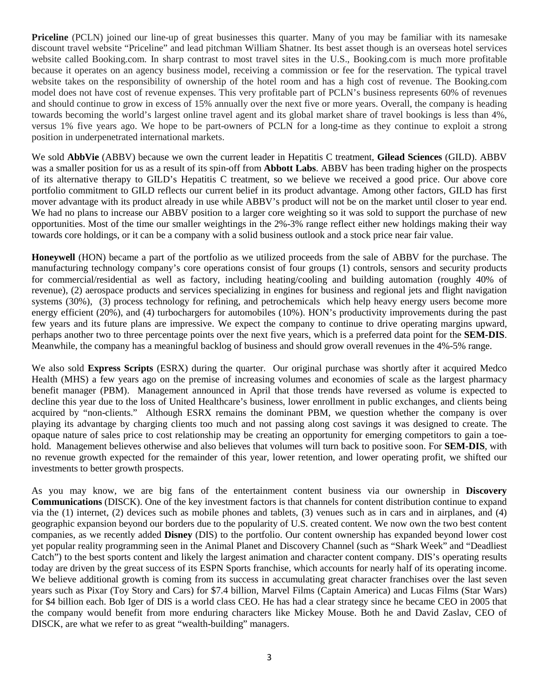**Priceline** (PCLN) joined our line-up of great businesses this quarter. Many of you may be familiar with its namesake discount travel website "Priceline" and lead pitchman William Shatner. Its best asset though is an overseas hotel services website called Booking.com. In sharp contrast to most travel sites in the U.S., Booking.com is much more profitable because it operates on an agency business model, receiving a commission or fee for the reservation. The typical travel website takes on the responsibility of ownership of the hotel room and has a high cost of revenue. The Booking.com model does not have cost of revenue expenses. This very profitable part of PCLN's business represents 60% of revenues and should continue to grow in excess of 15% annually over the next five or more years. Overall, the company is heading towards becoming the world's largest online travel agent and its global market share of travel bookings is less than 4%, versus 1% five years ago. We hope to be part-owners of PCLN for a long-time as they continue to exploit a strong position in underpenetrated international markets.

We sold **AbbVie** (ABBV) because we own the current leader in Hepatitis C treatment, **Gilead Sciences** (GILD). ABBV was a smaller position for us as a result of its spin-off from **Abbott Labs**. ABBV has been trading higher on the prospects of its alternative therapy to GILD's Hepatitis C treatment, so we believe we received a good price. Our above core portfolio commitment to GILD reflects our current belief in its product advantage. Among other factors, GILD has first mover advantage with its product already in use while ABBV's product will not be on the market until closer to year end. We had no plans to increase our ABBV position to a larger core weighting so it was sold to support the purchase of new opportunities. Most of the time our smaller weightings in the 2%-3% range reflect either new holdings making their way towards core holdings, or it can be a company with a solid business outlook and a stock price near fair value.

**Honeywell** (HON) became a part of the portfolio as we utilized proceeds from the sale of ABBV for the purchase. The manufacturing technology company's core operations consist of four groups (1) controls, sensors and security products for commercial/residential as well as factory, including heating/cooling and building automation (roughly 40% of revenue), (2) aerospace products and services specializing in engines for business and regional jets and flight navigation systems (30%), (3) process technology for refining, and petrochemicals which help heavy energy users become more energy efficient (20%), and (4) turbochargers for automobiles (10%). HON's productivity improvements during the past few years and its future plans are impressive. We expect the company to continue to drive operating margins upward, perhaps another two to three percentage points over the next five years, which is a preferred data point for the **SEM-DIS**. Meanwhile, the company has a meaningful backlog of business and should grow overall revenues in the 4%-5% range.

We also sold **Express Scripts** (ESRX) during the quarter. Our original purchase was shortly after it acquired Medco Health (MHS) a few years ago on the premise of increasing volumes and economies of scale as the largest pharmacy benefit manager (PBM). Management announced in April that those trends have reversed as volume is expected to decline this year due to the loss of United Healthcare's business, lower enrollment in public exchanges, and clients being acquired by "non-clients." Although ESRX remains the dominant PBM, we question whether the company is over playing its advantage by charging clients too much and not passing along cost savings it was designed to create. The opaque nature of sales price to cost relationship may be creating an opportunity for emerging competitors to gain a toehold. Management believes otherwise and also believes that volumes will turn back to positive soon. For **SEM-DIS**, with no revenue growth expected for the remainder of this year, lower retention, and lower operating profit, we shifted our investments to better growth prospects.

As you may know, we are big fans of the entertainment content business via our ownership in **Discovery Communications** (DISCK). One of the key investment factors is that channels for content distribution continue to expand via the (1) internet, (2) devices such as mobile phones and tablets, (3) venues such as in cars and in airplanes, and (4) geographic expansion beyond our borders due to the popularity of U.S. created content. We now own the two best content companies, as we recently added **Disney** (DIS) to the portfolio. Our content ownership has expanded beyond lower cost yet popular reality programming seen in the Animal Planet and Discovery Channel (such as "Shark Week" and "Deadliest Catch") to the best sports content and likely the largest animation and character content company. DIS's operating results today are driven by the great success of its ESPN Sports franchise, which accounts for nearly half of its operating income. We believe additional growth is coming from its success in accumulating great character franchises over the last seven years such as Pixar (Toy Story and Cars) for \$7.4 billion, Marvel Films (Captain America) and Lucas Films (Star Wars) for \$4 billion each. Bob Iger of DIS is a world class CEO. He has had a clear strategy since he became CEO in 2005 that the company would benefit from more enduring characters like Mickey Mouse. Both he and David Zaslav, CEO of DISCK, are what we refer to as great "wealth-building" managers.